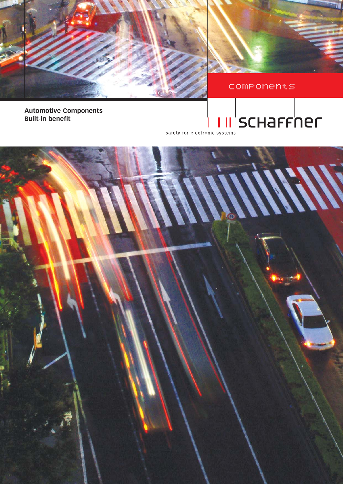



Components

**Automotive Components Built-in benefit**

# <u>III</u>SCHAFFNer

safety for electronic systems

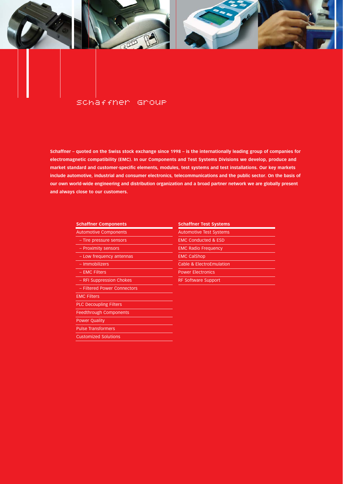

#### Schaffner Group

**Schaffner – quoted on the Swiss stock exchange since 1998 – is the internationally leading group of companies for electromagnetic compatibility (EMC). In our Components and Test Systems Divisions we develop, produce and market standard and customer-specific elements, modules, test systems and test installations. Our key markets include automotive, industrial and consumer electronics, telecommunications and the public sector. On the basis of our own world-wide engineering and distribution organization and a broad partner network we are globally present and always close to our customers.**

| <b>AULUITIULIVE CUITIDUTEITIS</b> | <b>AULUITIULIVE TEST SYSTEMS</b> |
|-----------------------------------|----------------------------------|
| - Tire pressure sensors           | <b>EMC Conducted &amp; ESD</b>   |
| - Proximity sensors               | <b>EMC Radio Frequency</b>       |
| - Low frequency antennas          | <b>EMC CalShop</b>               |
| - Immobilizers                    | Cable & ElectroEmulation         |
| - EMC Filters                     | <b>Power Electronics</b>         |
| - RFI Suppression Chokes          | <b>RF Software Support</b>       |
| - Filtered Power Connectors       |                                  |
| <b>EMC Filters</b>                |                                  |
| <b>PLC Decoupling Filters</b>     |                                  |
| <b>Feedthrough Components</b>     |                                  |
| <b>Power Quality</b>              |                                  |
| <b>Pulse Transformers</b>         |                                  |
| <b>Customized Solutions</b>       |                                  |

#### **Schaffner Components Schaffner Test Systems**

| <b>Automotive Components</b> | <b>Automotive Test Systems</b> |
|------------------------------|--------------------------------|
| - Tire pressure sensors      | <b>EMC Conducted &amp; ESD</b> |
| - Proximity sensors          | <b>EMC Radio Frequency</b>     |
| - Low frequency antennas     | <b>EMC CalShop</b>             |
| - Immobilizers               | Cable & ElectroEmulation       |
| $-$ EMC Filters              | <b>Power Electronics</b>       |
| - RFI Suppression Chokes     | <b>RF Software Support</b>     |
|                              |                                |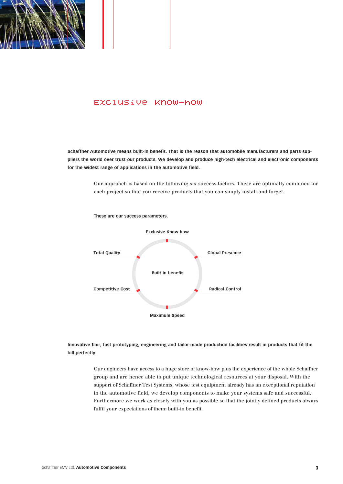

#### Exclusive Know-how

**Schaffner Automotive means built-in benefit. That is the reason that automobile manufacturers and parts suppliers the world over trust our products. We develop and produce high-tech electrical and electronic components for the widest range of applications in the automotive field.**

> Our approach is based on the following six success factors. These are optimally combined for each project so that you receive products that you can simply install and forget.



**Innovative flair, fast prototyping, engineering and tailor-made production facilities result in products that fit the bill perfectly.**

> Our engineers have access to a huge store of know-how plus the experience of the whole Schaffner group and are hence able to put unique technological resources at your disposal. With the support of Schaffner Test Systems, whose test equipment already has an exceptional reputation in the automotive field, we develop components to make your systems safe and successful. Furthermore we work as closely with you as possible so that the jointly defined products always fulfil your expectations of them: built-in benefit.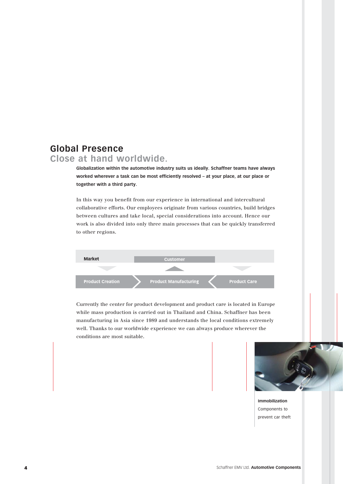### **Global Presence**

### **Close at hand worldwide.**

**Globalization within the automotive industry suits us ideally. Schaffner teams have always worked wherever a task can be most efficiently resolved – at your place, at our place or together with a third party.** 

In this way you benefit from our experience in international and intercultural collaborative efforts. Our employees originate from various countries, build bridges between cultures and take local, special considerations into account. Hence our work is also divided into only three main processes that can be quickly transferred to other regions.



Currently the center for product development and product care is located in Europe while mass production is carried out in Thailand and China. Schaffner has been manufacturing in Asia since 1989 and understands the local conditions extremely well. Thanks to our worldwide experience we can always produce wherever the conditions are most suitable.



**Immobilization** Components to prevent car theft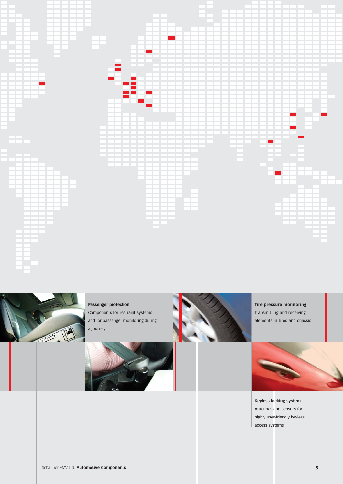



**Passenger protection** Components for restraint systems

and for passenger monitoring during a journey



**Tire pressure monitoring** Transmitting and receiving elements in tires and chassis



**Keyless locking system** Antennas and sensors for highly user-friendly keyless access systems

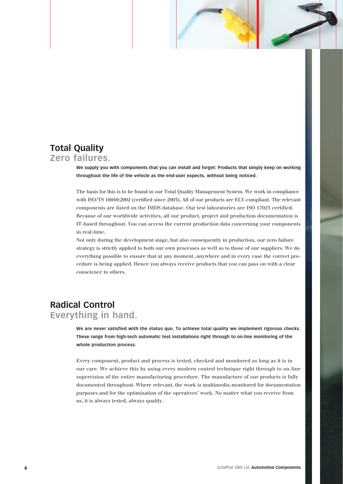## **Total Quality**

### **Zero failures.**

**We supply you with components that you can install and forget: Products that simply keep on working throughout the life of the vehicle as the end-user expects, without being noticed.**

The basis for this is to be found in our Total Quality Management System. We work in compliance with ISO/TS 16949:2002 (certified since 2003). All of our products are ELV-compliant. The relevant components are listed on the IMDS database. Our test laboratories are ISO 17025 certified. Because of our worldwide activities, all our product, project and production documentation is IT-based throughout. You can access the current production data concerning your components in real-time.

Not only during the development stage, but also consequently in production, our zero failure strategy is strictly applied to both our own processes as well as to those of our suppliers. We do everything possible to ensure that at any moment, anywhere and in every case the correct procedure is being applied. Hence you always receive products that you can pass on with a clear conscience to others.

### **Radical Control Everything in hand.**

**We are never satisfied with the status quo. To achieve total quality we implement rigorous checks. These range from high-tech automatic test installations right through to on-line monitoring of the whole production process.** 

Every component, product and process is tested, checked and monitored as long as it is in our care. We achieve this by using every modern control technique right through to on-line supervision of the entire manufacturing procedure. The manufacture of our products is fully documented throughout. Where relevant, the work is multimedia-monitored for documentation purposes and for the optimization of the operatives' work. No matter what you receive from us, it is always tested, always quality.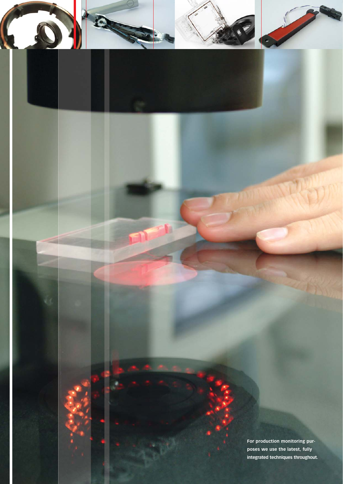**For production monitoring purposes we use the latest, fully integrated techniques throughout.**

C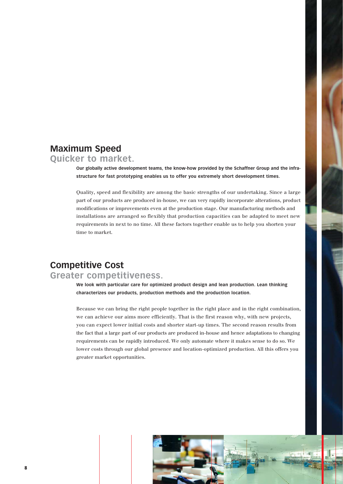### **Maximum Speed**

### **Quicker to market.**

**Our globally active development teams, the know-how provided by the Schaffner Group and the infrastructure for fast prototyping enables us to offer you extremely short development times.**

Quality, speed and flexibility are among the basic strengths of our undertaking. Since a large part of our products are produced in-house, we can very rapidly incorporate alterations, product modifications or improvements even at the production stage. Our manufacturing methods and installations are arranged so flexibly that production capacities can be adapted to meet new requirements in next to no time. All these factors together enable us to help you shorten your time to market.

### **Competitive Cost Greater competitiveness.**

**We look with particular care for optimized product design and lean production. Lean thinking characterizes our products, production methods and the production location.**

Because we can bring the right people together in the right place and in the right combination, we can achieve our aims more efficiently. That is the first reason why, with new projects, you can expect lower initial costs and shorter start-up times. The second reason results from the fact that a large part of our products are produced in-house and hence adaptations to changing requirements can be rapidly introduced. We only automate where it makes sense to do so. We lower costs through our global presence and location-optimized production. All this offers you greater market opportunities.

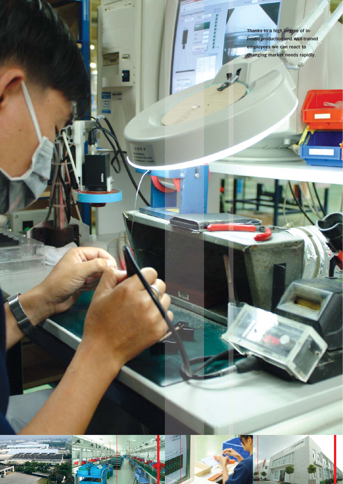**Thanks to a high degree of inhouse production and well-trained employees we can react to changing market needs rapidly.**

I ..

123.1

 $\circledast$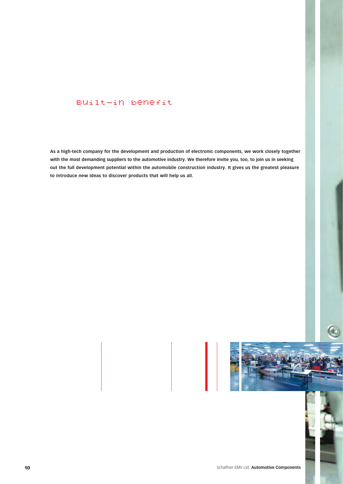### Built-in benefit

**As a high-tech company for the development and production of electronic components, we work closely together with the most demanding suppliers to the automotive industry. We therefore invite you, too, to join us in seeking out the full development potential within the automobile construction industry. It gives us the greatest pleasure to introduce new ideas to discover products that will help us all.**

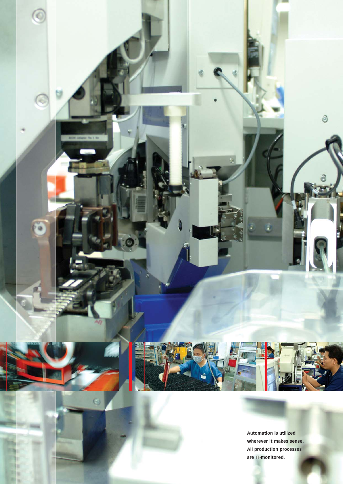

 $\Theta$ 

**Automation is utilized wherever it makes sense. All production processes are IT-monitored.**